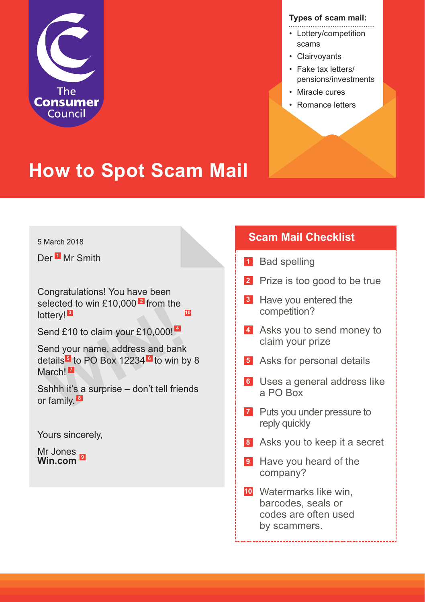

#### **Types of scam mail:**

- Lottery/competition scams
- Clairvoyants
- Fake tax letters/ pensions/investments
- Miracle cures
- Romance letters

## **How to Spot Scam Mail**

#### 5 March 2018

Der<sup>11</sup> Mr Smith

Congratulations! You have been selected to win £10,000<sup>L</sup> from the lottery! **3 10**

Send £10 to claim your £10,000! **4**

offery!<br> **Market Contains 2.13,300** montrance<br> **Market Contains 1.2.13,000!**<br> **Market Contains 1.2.234**<br> **March!**<br> **March!**<br> **March!**<br> **March!**<br> **Market Contains 4.3**<br> **Market Contains 4.4**<br> **We be the Contains 4.4**<br> **We b** Send your name, address and bank details<sup>1</sup> to PO Box 12234<sup>1</sup> to win by 8 March! **7**

Sshhh it's a surprise – don't tell friends or family. **8**

Yours sincerely,

Mr Jones **Win.com 9**

### **Scam Mail Checklist**

- **1** Bad spelling
- **2** Prize is too good to be true
- **3** Have you entered the competition?
- 4 Asks you to send money to claim your prize
- Asks for personal details **5**
- Uses a general address like **6** a PO Box
- **7** Puts you under pressure to reply quickly
- Asks you to keep it a secret **8**

-------------------------------------

- **9** Have you heard of the company?
- Watermarks like win, **10** barcodes, seals or codes are often used by scammers.